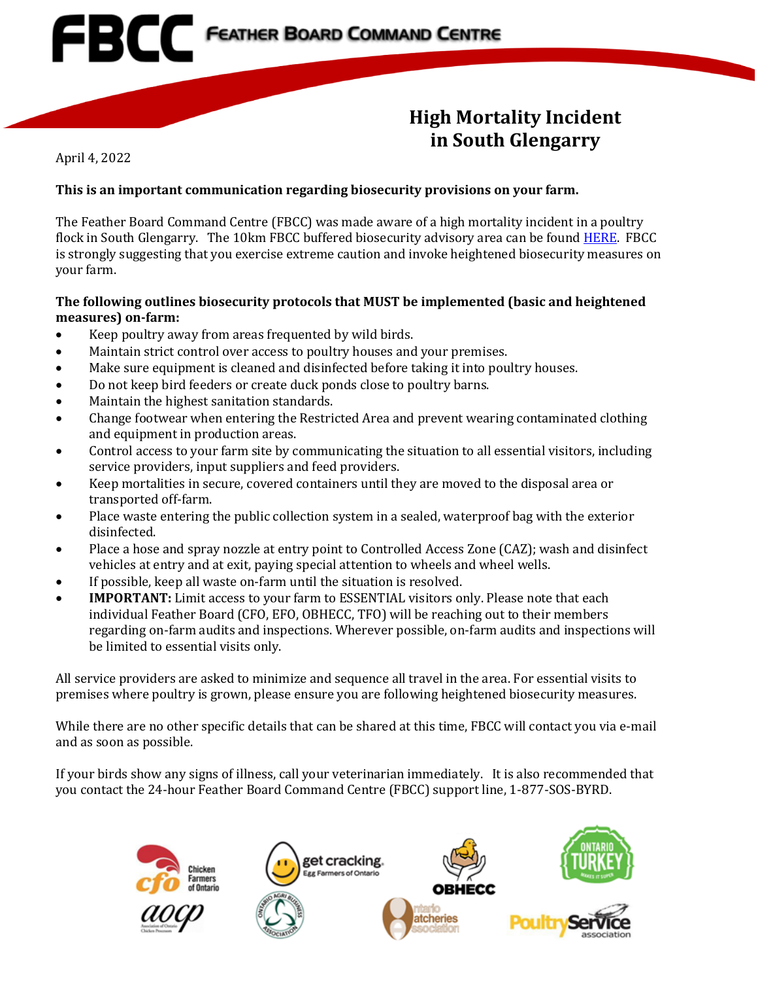## **High Mortality Incident in South Glengarry**

April 4, 2022

## **This is an important communication regarding biosecurity provisions on your farm.**

The Feather Board Command Centre (FBCC) was made aware of a high mortality incident in a poultry flock in South Glengarry. The 10km FBCC buffered biosecurity advisory area can be foun[d HERE.](https://www.fbcc.ca/hr-lancaster/public-map) FBCC is strongly suggesting that you exercise extreme caution and invoke heightened biosecurity measures on your farm.

## **The following outlines biosecurity protocols that MUST be implemented (basic and heightened measures) on-farm:**

- Keep poultry away from areas frequented by wild birds.
- Maintain strict control over access to poultry houses and your premises.

**EBCC** FEATHER BOARD COMMAND CENTRE

- Make sure equipment is cleaned and disinfected before taking it into poultry houses.
- Do not keep bird feeders or create duck ponds close to poultry barns.
- Maintain the highest sanitation standards.
- Change footwear when entering the Restricted Area and prevent wearing contaminated clothing and equipment in production areas.
- Control access to your farm site by communicating the situation to all essential visitors, including service providers, input suppliers and feed providers.
- Keep mortalities in secure, covered containers until they are moved to the disposal area or transported off-farm.
- Place waste entering the public collection system in a sealed, waterproof bag with the exterior disinfected.
- Place a hose and spray nozzle at entry point to Controlled Access Zone (CAZ); wash and disinfect vehicles at entry and at exit, paying special attention to wheels and wheel wells.
- If possible, keep all waste on-farm until the situation is resolved.
- **IMPORTANT:** Limit access to your farm to ESSENTIAL visitors only. Please note that each individual Feather Board (CFO, EFO, OBHECC, TFO) will be reaching out to their members regarding on-farm audits and inspections. Wherever possible, on-farm audits and inspections will be limited to essential visits only.

All service providers are asked to minimize and sequence all travel in the area. For essential visits to premises where poultry is grown, please ensure you are following heightened biosecurity measures.

While there are no other specific details that can be shared at this time, FBCC will contact you via e-mail and as soon as possible.

If your birds show any signs of illness, call your veterinarian immediately. It is also recommended that you contact the 24-hour Feather Board Command Centre (FBCC) support line, 1-877-SOS-BYRD.